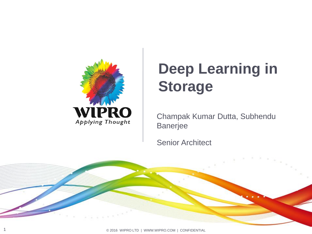

# **Deep Learning in Storage**

Champak Kumar Dutta, Subhendu Banerjee

Senior Architect

1 © 2016 WIPRO LTD | WWW.WIPRO.COM | CONFIDENTIAL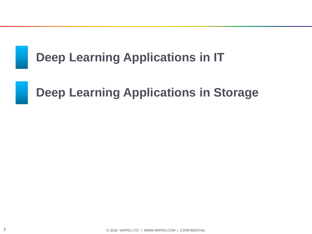# **Deep Learning Applications in IT**

## **Deep Learning Applications in Storage**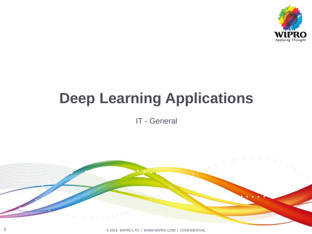

# **Deep Learning Applications**

IT - General

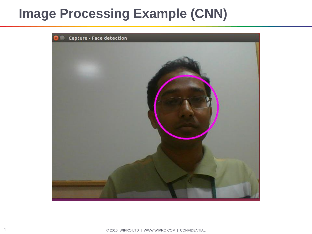# **Image Processing Example (CNN)**



4 © 2016 WIPRO LTD | WWW.WIPRO.COM | CONFIDENTIAL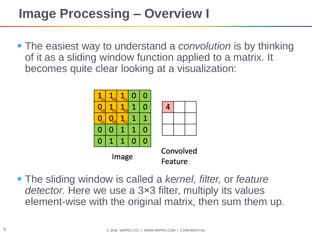# **Image Processing – Overview I**

 The easiest way to understand a *convolution* is by thinking of it as a sliding window function applied to a matrix. It becomes quite clear looking at a visualization:



 The sliding window is called a *kernel, filter,* or *feature detector.* Here we use a 3×3 filter, multiply its values element-wise with the original matrix, then sum them up.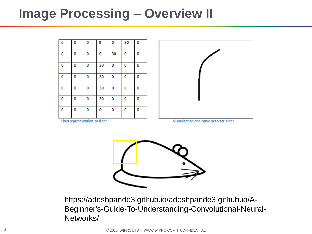#### **Image Processing – Overview II**

| 0 | 0 | 0 | 0  | 0  | 30 | 0 |
|---|---|---|----|----|----|---|
| 0 | 0 | 0 | 0  | 30 | 0  | 0 |
| 0 | 0 | 0 | 30 | 0  | 0  | 0 |
| 0 | 0 | 0 | 30 | 0  | 0  | 0 |
| 0 | 0 | 0 | 30 | 0  | 0  | 0 |
| 0 | 0 | 0 | 30 | 0  | 0  | 0 |
| 0 | 0 | 0 | 0  | 0  | 0  | 0 |



**Pixel representation of filter** 

Visualization of a curve detector filter



https://adeshpande3.github.io/adeshpande3.github.io/A-Beginner's-Guide-To-Understanding-Convolutional-Neural-Networks/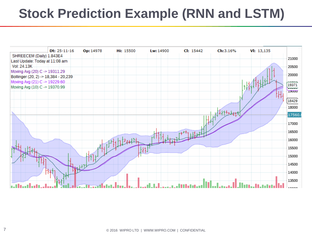# **Stock Prediction Example (RNN and LSTM)**

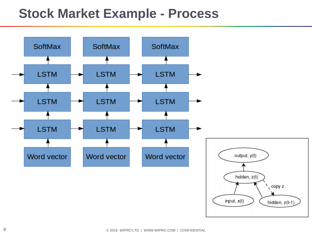### **Stock Market Example - Process**

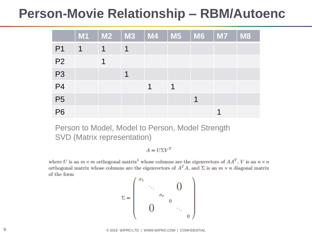### **Person-Movie Relationship – RBM/Autoenc**

|                | <b>M1</b>   | <b>M2</b>            | $\blacksquare$ M3 | $\mid$ M4 |   | $\parallel$ M5 $\parallel$ M6 $\parallel$ | <b>M7</b> | <b>M8</b> |
|----------------|-------------|----------------------|-------------------|-----------|---|-------------------------------------------|-----------|-----------|
| P <sub>1</sub> | $\mathbf 1$ | 1                    | 1                 |           |   |                                           |           |           |
| P <sub>2</sub> |             | $\blacktriangleleft$ |                   |           |   |                                           |           |           |
| P <sub>3</sub> |             |                      | ↿                 |           |   |                                           |           |           |
| P <sub>4</sub> |             |                      |                   | 1         | 1 |                                           |           |           |
| <b>P5</b>      |             |                      |                   |           |   |                                           |           |           |
| <b>P6</b>      |             |                      |                   |           |   |                                           |           |           |

Person to Model, Model to Person, Model Strength SVD (Matrix representation)

 $A = U\Sigma V^T$ 

where U is an  $m \times m$  orthogonal matrix<sup>1</sup> whose columns are the eigenvectors of  $AA<sup>T</sup>$ , V is an  $n \times n$ orthogonal matrix whose columns are the eigenvectors of  $A<sup>T</sup>A$ , and  $\Sigma$  is an  $m \times n$  diagonal matrix of the form

$$
\Sigma = \begin{pmatrix} \sigma_1 & & & & \\ & \ddots & & 0 & \\ & & \sigma_r & & \\ & & 0 & & \\ & & & & \ddots \\ & & & & & 0 \end{pmatrix}
$$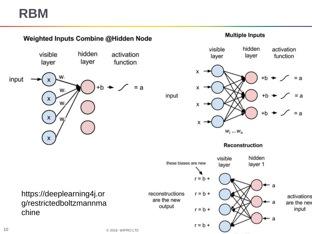## **RBM**

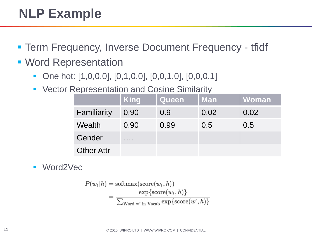# **NLP Example**

- **Term Frequency, Inverse Document Frequency tfidf**
- **Word Representation** 
	- One hot: [1,0,0,0], [0,1,0,0], [0,0,1,0], [0,0,0,1]
	- Vector Representation and Cosine Similarity

|                   | <b>King</b> | <b>Queen</b> | <b>Man</b> | Woman |
|-------------------|-------------|--------------|------------|-------|
| Familiarity       | 0.90        | 0.9          | 0.02       | 0.02  |
| Wealth            | 0.90        | 0.99         | 0.5        | 0.5   |
| Gender            | .           |              |            |       |
| <b>Other Attr</b> |             |              |            |       |

■ Word2Vec

$$
P(w_t|h) = \text{softmax}(\text{score}(w_t, h))
$$
  
= 
$$
\frac{\exp{\{\text{score}(w_t, h)\}}}{\sum_{\text{Word } w' \text{ in Vocab}} \exp{\{\text{score}(w', h)\}}}
$$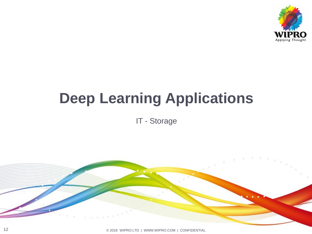

# **Deep Learning Applications**

IT - Storage

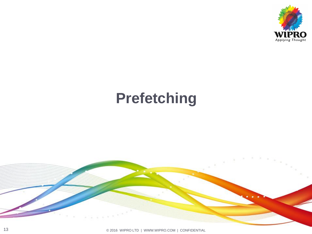

# **Prefetching**

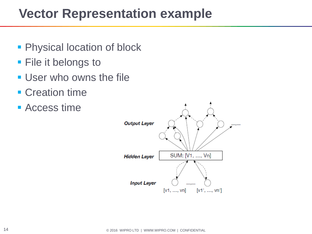## **Vector Representation example**

- **Physical location of block**
- **File it belongs to**
- **User who owns the file**
- **Creation time**
- **Access time**

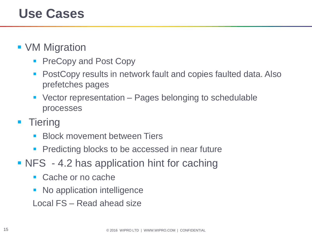- **VM Migration** 
	- **PreCopy and Post Copy**
	- PostCopy results in network fault and copies faulted data. Also prefetches pages
	- Vector representation Pages belonging to schedulable processes
- **Tiering** 
	- Block movement between Tiers
	- Predicting blocks to be accessed in near future
- NFS 4.2 has application hint for caching
	- Cache or no cache
	- No application intelligence
	- Local FS Read ahead size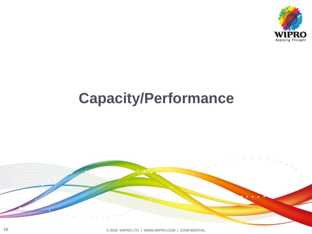

# **Capacity/Performance**

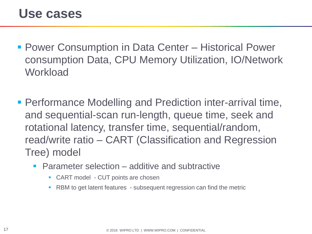- Power Consumption in Data Center Historical Power consumption Data, CPU Memory Utilization, IO/Network **Workload**
- Performance Modelling and Prediction inter-arrival time, and sequential-scan run-length, queue time, seek and rotational latency, transfer time, sequential/random, read/write ratio – CART (Classification and Regression Tree) model
	- Parameter selection additive and subtractive
		- CART model CUT points are chosen
		- **RBM** to get latent features subsequent regression can find the metric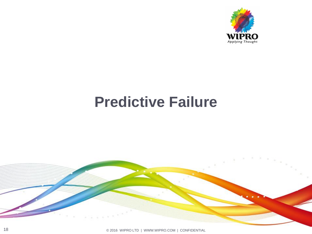

# **Predictive Failure**

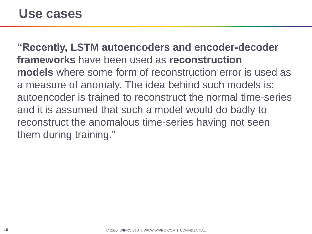#### **Use cases**

**"Recently, LSTM autoencoders and encoder-decoder frameworks** have been used as **reconstruction models** where some form of reconstruction error is used as a measure of anomaly. The idea behind such models is: autoencoder is trained to reconstruct the normal time-series and it is assumed that such a model would do badly to reconstruct the anomalous time-series having not seen them during training."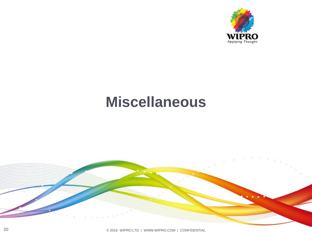

# **Miscellaneous**

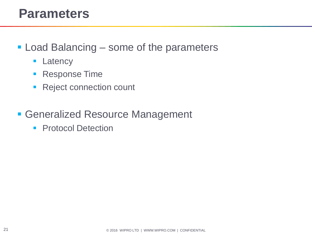#### **Parameters**

- **Load Balancing some of the parameters** 
	- **Latency**
	- **Response Time**
	- **Reject connection count**
- Generalized Resource Management
	- **Protocol Detection**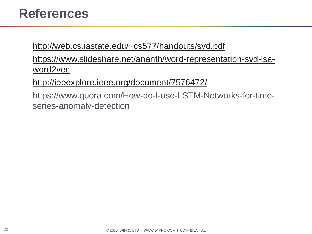### **References**

<http://web.cs.iastate.edu/~cs577/handouts/svd.pdf>

[https://www.slideshare.net/ananth/word-representation-svd-lsa](https://www.slideshare.net/ananth/word-representation-svd-lsa-word2vec)[word2vec](https://www.slideshare.net/ananth/word-representation-svd-lsa-word2vec)

<http://ieeexplore.ieee.org/document/7576472/>

https://www.quora.com/How-do-I-use-LSTM-Networks-for-timeseries-anomaly-detection